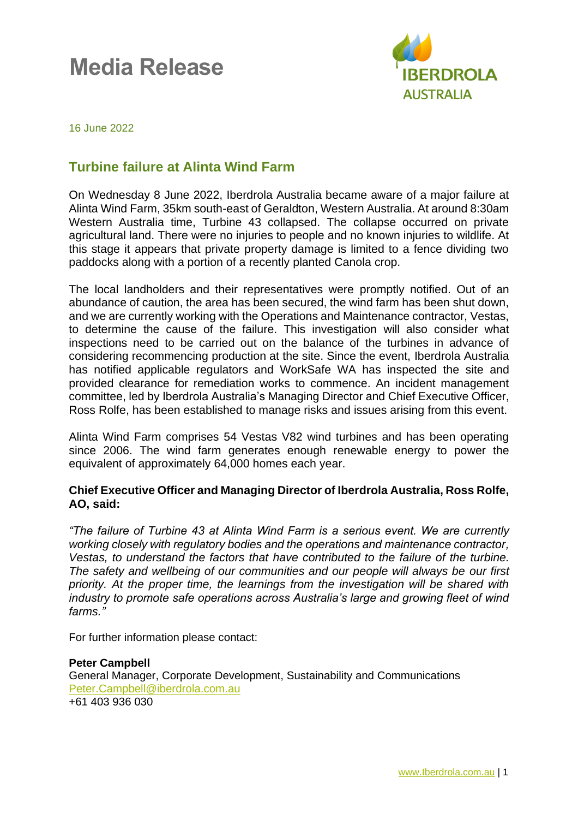# **Media Release**



16 June 2022

# **Turbine failure at Alinta Wind Farm**

On Wednesday 8 June 2022, Iberdrola Australia became aware of a major failure at Alinta Wind Farm, 35km south-east of Geraldton, Western Australia. At around 8:30am Western Australia time, Turbine 43 collapsed. The collapse occurred on private agricultural land. There were no injuries to people and no known injuries to wildlife. At this stage it appears that private property damage is limited to a fence dividing two paddocks along with a portion of a recently planted Canola crop.

The local landholders and their representatives were promptly notified. Out of an abundance of caution, the area has been secured, the wind farm has been shut down, and we are currently working with the Operations and Maintenance contractor, Vestas, to determine the cause of the failure. This investigation will also consider what inspections need to be carried out on the balance of the turbines in advance of considering recommencing production at the site. Since the event, Iberdrola Australia has notified applicable regulators and WorkSafe WA has inspected the site and provided clearance for remediation works to commence. An incident management committee, led by Iberdrola Australia's Managing Director and Chief Executive Officer, Ross Rolfe, has been established to manage risks and issues arising from this event.

Alinta Wind Farm comprises 54 Vestas V82 wind turbines and has been operating since 2006. The wind farm generates enough renewable energy to power the equivalent of approximately 64,000 homes each year.

#### **Chief Executive Officer and Managing Director of Iberdrola Australia, Ross Rolfe, AO, said:**

*"The failure of Turbine 43 at Alinta Wind Farm is a serious event. We are currently working closely with regulatory bodies and the operations and maintenance contractor, Vestas, to understand the factors that have contributed to the failure of the turbine. The safety and wellbeing of our communities and our people will always be our first priority. At the proper time, the learnings from the investigation will be shared with industry to promote safe operations across Australia's large and growing fleet of wind farms."*

For further information please contact:

#### **Peter Campbell** General Manager, Corporate Development, Sustainability and Communications [Peter.Campbell@iberdrola.com.au](mailto:Peter.Campbell@iberdrola.com.au) +61 403 936 030